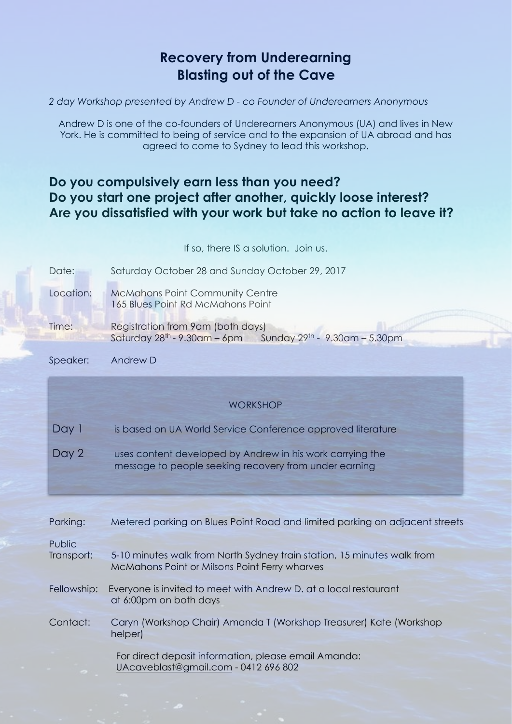# **Recovery from Underearning Blasting out of the Cave**

*2 day Workshop presented by Andrew D - co Founder of Underearners Anonymous* 

Andrew D is one of the co-founders of Underearners Anonymous (UA) and lives in New York. He is committed to being of service and to the expansion of UA abroad and has agreed to come to Sydney to lead this workshop.

# **Do you compulsively earn less than you need? Do you start one project after another, quickly loose interest? Are you dissatisfied with your work but take no action to leave it?**

|                      | If so, there IS a solution. Join us.                                                                                     |
|----------------------|--------------------------------------------------------------------------------------------------------------------------|
| Date:                | Saturday October 28 and Sunday October 29, 2017                                                                          |
| Location:            | <b>McMahons Point Community Centre</b><br>165 Blues Point Rd McMahons Point                                              |
| Time:                | Registration from 9am (both days)<br>Saturday $28^{th}$ - 9.30am - 6pm Sunday $29^{th}$ - 9.30am - 5.30pm                |
| Speaker:             | Andrew D                                                                                                                 |
|                      |                                                                                                                          |
|                      | <b>WORKSHOP</b>                                                                                                          |
| Day 1                | is based on UA World Service Conference approved literature                                                              |
| Day 2                | uses content developed by Andrew in his work carrying the<br>message to people seeking recovery from under earning       |
|                      |                                                                                                                          |
| Parking:             | Metered parking on Blues Point Road and limited parking on adjacent streets                                              |
| Public<br>Transport: | 5-10 minutes walk from North Sydney train station, 15 minutes walk from<br>McMahons Point or Milsons Point Ferry wharves |
| Fellowship:          | Everyone is invited to meet with Andrew D. at a local restaurant<br>at 6:00pm on both days                               |
| Contact:             | Caryn (Workshop Chair) Amanda T (Workshop Treasurer) Kate (Workshop<br>helper)                                           |
|                      | For direct deposit information, please email Amanda:<br>UAcaveblast@gmail.com - 0412 696 802                             |